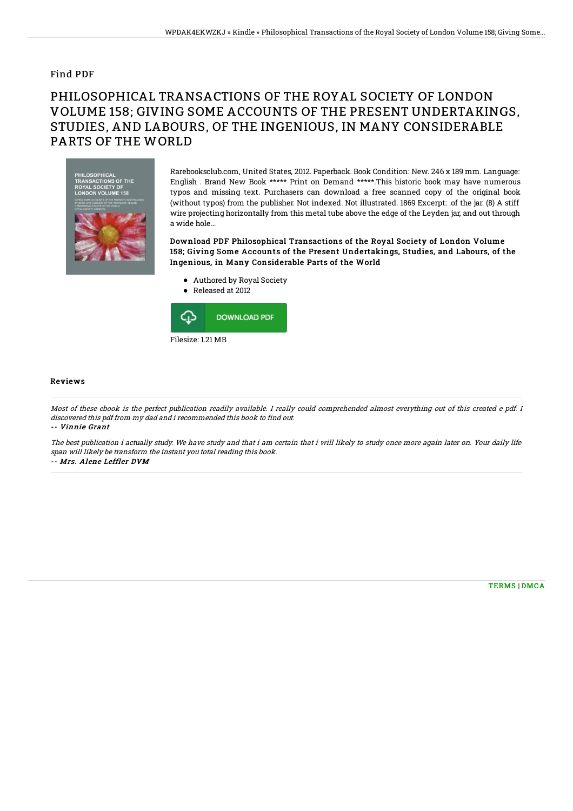## Find PDF

## PHILOSOPHICAL TRANSACTIONS OF THE ROYAL SOCIETY OF LONDON VOLUME 158; GIVING SOME ACCOUNTS OF THE PRESENT UNDERTAKINGS, STUDIES, AND LABOURS, OF THE INGENIOUS, IN MANY CONSIDERABLE PARTS OF THE WORLD



Rarebooksclub.com, United States, 2012. Paperback. Book Condition: New. 246 x 189 mm. Language: English . Brand New Book \*\*\*\*\* Print on Demand \*\*\*\*\*.This historic book may have numerous typos and missing text. Purchasers can download a free scanned copy of the original book (without typos) from the publisher. Not indexed. Not illustrated. 1869 Excerpt: .of the jar. (8) A stiff wire projecting horizontally from this metal tube above the edge of the Leyden jar, and out through a wide hole...

Download PDF Philosophical Transactions of the Royal Society of London Volume 158; Giving Some Accounts of the Present Undertakings, Studies, and Labours, of the Ingenious, in Many Considerable Parts of the World

- Authored by Royal Society
- Released at 2012



## Reviews

Most of these ebook is the perfect publication readily available. I really could comprehended almost everything out of this created <sup>e</sup> pdf. I discovered this pdf from my dad and i recommended this book to find out. -- Vinnie Grant

The best publication i actually study. We have study and that i am certain that i will likely to study once more again later on. Your daily life span will likely be transform the instant you total reading this book.

-- Mrs. Alene Leffler DVM